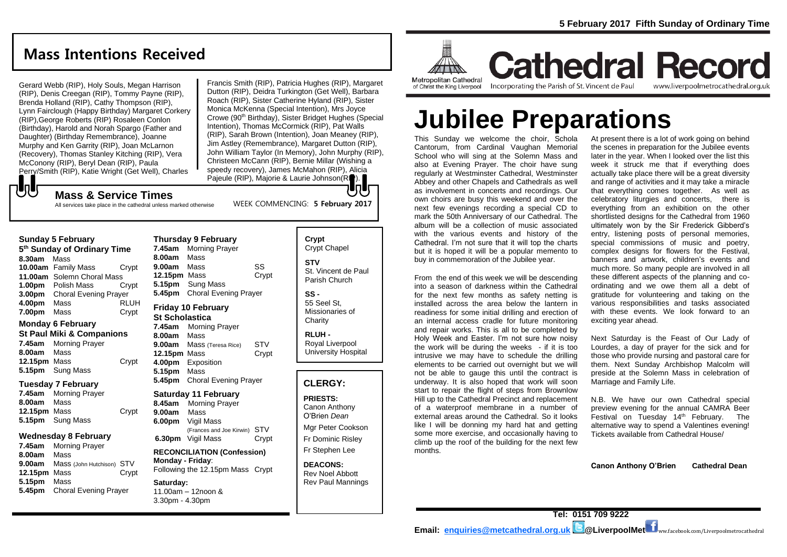# **Mass Intentions Received**

Gerard Webb (RIP), Holy Souls, Megan Harrison (RIP), Denis Creegan (RIP), Tommy Payne (RIP), Brenda Holland (RIP), Cathy Thompson (RIP), Lynn Fairclough (Happy Birthday) Margaret Corkery (RIP),George Roberts (RIP) Rosaleen Conlon (Birthday), Harold and Norah Spargo (Father and Daughter) (Birthday Remembrance), Joanne Murphy and Ken Garrity (RIP), Joan McLarnon (Recovery), Thomas Stanley Kitching (RIP), Vera McConony (RIP), Beryl Dean (RIP), Paula Perry/Smith (RIP), Katie Wright (Get Well), Charles

Francis Smith (RIP), Patricia Hughes (RIP), Margaret Dutton (RIP), Deidra Turkington (Get Well), Barbara Roach (RIP), Sister Catherine Hyland (RIP), Sister Monica McKenna (Special Intention), Mrs Joyce Crowe (90<sup>th</sup> Birthday), Sister Bridget Hughes (Special Intention), Thomas McCormick (RIP), Pat Walls (RIP), Sarah Brown (Intention), Joan Meaney (RIP), Jim Astley (Remembrance), Margaret Dutton (RIP), John William Taylor (In Memory), John Murphy (RIP), Christeen McCann (RIP), Bernie Millar (Wishing a speedy recovery), James McMahon (RIP), Alicia Pajeule (RIP), Majorie & Laurie Johnson (RIP). IпI

WEEK COMMENCING: **5 February 2017**

## **Mass & Service Times**

All services take place in the cathedral unless marked otherwise

#### **Sunday 5 February**

**UU** 

**5 th Sunday of Ordinary Time 8.30am** Mass **10.00am** Family Mass Crypt **11.00am** Solemn Choral Mass **1.00pm** Polish Mass Crypt **3.00pm** Choral Evening Prayer **4.00pm** Mass RLUH **7.00pm** Mass Crypt

#### **Monday 6 February**

- **St Paul Miki & Companions 7.45am** Morning Prayer **8.00am** Mass
- 12.15pm Mass **Crypt 5.15pm** Sung Mass

#### **Tuesday 7 February**

**7.45am** Morning Prayer **8.00am** Mass **12.15pm** Mass Crypt **5.15pm** Sung Mass

#### **Wednesday 8 February**

**7.45am** Morning Prayer **8.00am** Mass **9.00am** Mass (John Hutchison) STV **12.15pm** Mass Crypt **5.15pm** Mass **5.45pm** Choral Evening Prayer

#### **Thursday 9 February 7.45am** Morning Prayer **8.00am** Mass **9.00am** Mass SS **12.15pm** Mass Crypt **5.15pm** Sung Mass **5.45pm** Choral Evening Prayer

# **Friday 10 February**

**St Scholastica 7.45am** Morning Prayer **8.00am** Mass **9.00am** Mass (Teresa Rice) STV **12.15pm** Mass Crypt **4.00pm** Exposition **5.15pm** Mass **5.45pm** Choral Evening Prayer

#### **Saturday 11 February**

**8.45am** Morning Prayer **9.00am** Mass **6.00pm** Vigil Mass (Frances and Joe Kirwin) STV **6.30pm** Vigil Mass Crypt

**RECONCILIATION (Confession) Monday - Friday**: Following the 12.15pm Mass Crypt

#### **Saturday:**

11.00am – 12noon & 3.30pm - 4.30pm

| Crypt<br>Crypt Chapel                              |
|----------------------------------------------------|
| <b>STV</b><br>St. Vincent de Paul<br>Parish Church |
| SS -<br>55 Seel St.<br>Missionaries of<br>Charity  |

**RLUH -** Royal Liverpool University Hospital

## **CLERGY:**

**PRIESTS:** Canon Anthony

O'Brien *Dean* Mgr Peter Cookson

Fr Dominic Risley Fr Stephen Lee

**DEACONS:** Rev Noel Abbott Rev Paul Mannings



**Cathedral Record** Incorporating the Parish of St. Vincent de Paul www.liverpoolmetrocathedral.org.uk

# **Jubilee Preparations**

This Sunday we welcome the choir, Schola Cantorum, from Cardinal Vaughan Memorial School who will sing at the Solemn Mass and also at Evening Prayer. The choir have sung regularly at Westminster Cathedral, Westminster Abbey and other Chapels and Cathedrals as well as involvement in concerts and recordings. Our own choirs are busy this weekend and over the next few evenings recording a special CD to mark the 50th Anniversary of our Cathedral. The album will be a collection of music associated with the various events and history of the Cathedral. I'm not sure that it will top the charts but it is hoped it will be a popular memento to buy in commemoration of the Jubilee year.

From the end of this week we will be descending into a season of darkness within the Cathedral for the next few months as safety netting is installed across the area below the lantern in readiness for some initial drilling and erection of an internal access cradle for future monitoring and repair works. This is all to be completed by Holy Week and Easter. I'm not sure how noisy the work will be during the weeks - if it is too intrusive we may have to schedule the drilling elements to be carried out overnight but we will not be able to gauge this until the contract is underway. It is also hoped that work will soon start to repair the flight of steps from Brownlow Hill up to the Cathedral Precinct and replacement of a waterproof membrane in a number of external areas around the Cathedral. So it looks like I will be donning my hard hat and getting some more exercise, and occasionally having to climb up the roof of the building for the next few months.

At present there is a lot of work going on behind the scenes in preparation for the Jubilee events later in the year. When I looked over the list this week it struck me that if everything does actually take place there will be a great diversity and range of activities and it may take a miracle that everything comes together. As well as celebratory liturgies and concerts, there is everything from an exhibition on the other shortlisted designs for the Cathedral from 1960 ultimately won by the Sir Frederick Gibberd's entry, listening posts of personal memories, special commissions of music and poetry, complex designs for flowers for the Festival, banners and artwork, children's events and much more. So many people are involved in all these different aspects of the planning and coordinating and we owe them all a debt of gratitude for volunteering and taking on the various responsibilities and tasks associated with these events. We look forward to an exciting year ahead.

Next Saturday is the Feast of Our Lady of Lourdes, a day of prayer for the sick and for those who provide nursing and pastoral care for them. Next Sunday Archbishop Malcolm will preside at the Solemn Mass in celebration of Marriage and Family Life.

N.B. We have our own Cathedral special preview evening for the annual CAMRA Beer Festival on Tuesday  $14<sup>th</sup>$  February. The alternative way to spend a Valentines evening! Tickets available from Cathedral House/

**Canon Anthony O'Brien Cathedral Dean**